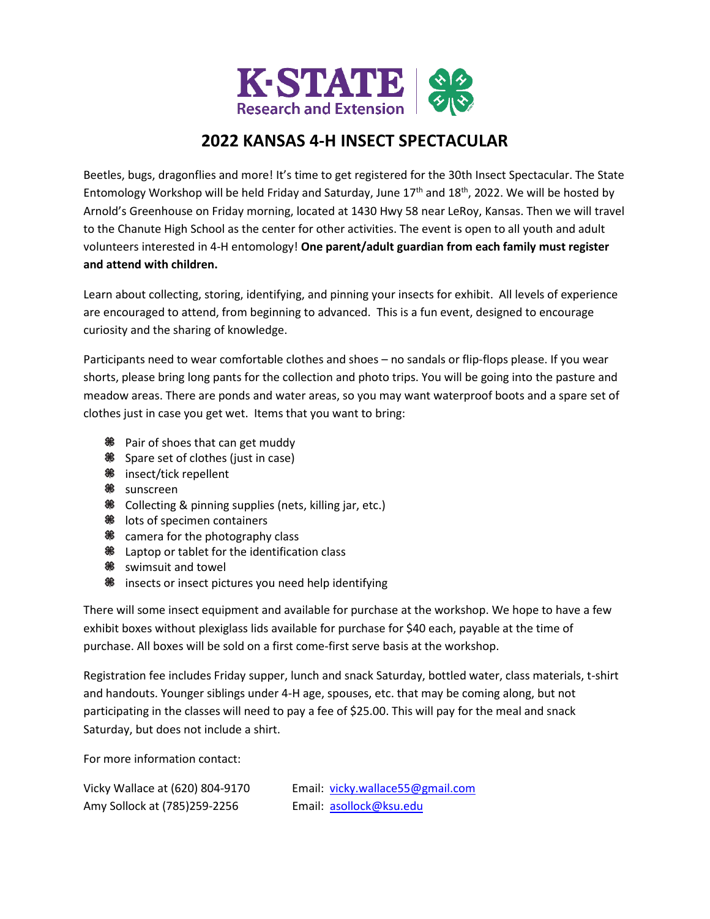

# **2022 KANSAS 4-H INSECT SPECTACULAR**

Beetles, bugs, dragonflies and more! It's time to get registered for the 30th Insect Spectacular. The State Entomology Workshop will be held Friday and Saturday, June  $17<sup>th</sup>$  and  $18<sup>th</sup>$ , 2022. We will be hosted by Arnold's Greenhouse on Friday morning, located at 1430 Hwy 58 near LeRoy, Kansas. Then we will travel to the Chanute High School as the center for other activities. The event is open to all youth and adult volunteers interested in 4-H entomology! **One parent/adult guardian from each family must register and attend with children.**

Learn about collecting, storing, identifying, and pinning your insects for exhibit. All levels of experience are encouraged to attend, from beginning to advanced. This is a fun event, designed to encourage curiosity and the sharing of knowledge.

Participants need to wear comfortable clothes and shoes – no sandals or flip-flops please. If you wear shorts, please bring long pants for the collection and photo trips. You will be going into the pasture and meadow areas. There are ponds and water areas, so you may want waterproof boots and a spare set of clothes just in case you get wet. Items that you want to bring:

- <sup>88</sup> Pair of shoes that can get muddy
- **Spare set of clothes (just in case)**
- insect/tick repellent
- <sup>‰</sup> sunscreen
- Collecting & pinning supplies (nets, killing jar, etc.)
- **<sup>36</sup>** lots of specimen containers
- % camera for the photography class
- Laptop or tablet for the identification class
- <sup>‰</sup> swimsuit and towel
- **<sup>86</sup>** insects or insect pictures you need help identifying

There will some insect equipment and available for purchase at the workshop. We hope to have a few exhibit boxes without plexiglass lids available for purchase for \$40 each, payable at the time of purchase. All boxes will be sold on a first come-first serve basis at the workshop.

Registration fee includes Friday supper, lunch and snack Saturday, bottled water, class materials, t-shirt and handouts. Younger siblings under 4-H age, spouses, etc. that may be coming along, but not participating in the classes will need to pay a fee of \$25.00. This will pay for the meal and snack Saturday, but does not include a shirt.

For more information contact:

| Vicky Wallace at (620) 804-9170 | Email: vicky.wallace55@gmail.com |
|---------------------------------|----------------------------------|
| Amy Sollock at (785)259-2256    | Email: asollock@ksu.edu          |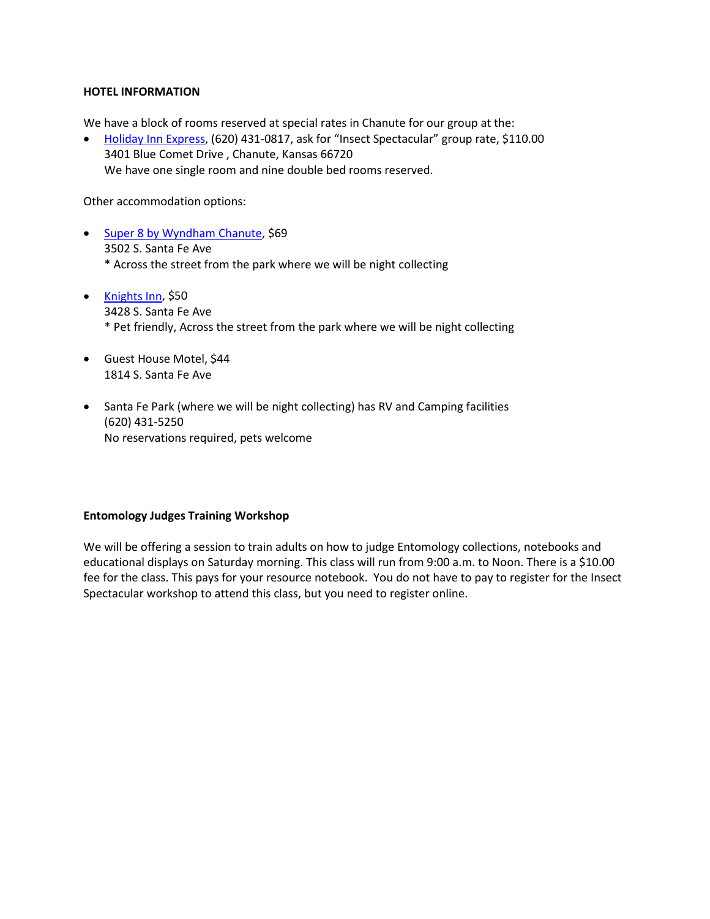#### **HOTEL INFORMATION**

We have a block of rooms reserved at special rates in Chanute for our group at the:

• [Holiday Inn Express,](https://www.ihg.com/holidayinnexpress/hotels/us/en/chanute/ppfks/hoteldetail?cm_mmc=GoogleMaps-_-EX-_-US-_-PPFKS) (620) 431-0817, ask for "Insect Spectacular" group rate, \$110.00 3401 Blue Comet Drive , Chanute, Kansas 66720 We have one single room and nine double bed rooms reserved.

Other accommodation options:

- [Super 8 by Wyndham Chanute,](https://www.wyndhamhotels.com/super-8/chanute-kansas/super-8-chanute/overview?CID=LC:SE::GGL:RIO:National:11950&iata=00093796) \$69 3502 S. Santa Fe Ave \* Across the street from the park where we will be night collecting
- [Knights Inn,](https://www.redlion.com/knights-inn/ks/chanute/knights-inn-chanute) \$50 3428 S. Santa Fe Ave \* Pet friendly, Across the street from the park where we will be night collecting
- Guest House Motel, \$44 1814 S. Santa Fe Ave
- Santa Fe Park (where we will be night collecting) has RV and Camping facilities (620) 431-5250 No reservations required, pets welcome

#### **Entomology Judges Training Workshop**

We will be offering a session to train adults on how to judge Entomology collections, notebooks and educational displays on Saturday morning. This class will run from 9:00 a.m. to Noon. There is a \$10.00 fee for the class. This pays for your resource notebook. You do not have to pay to register for the Insect Spectacular workshop to attend this class, but you need to register online.